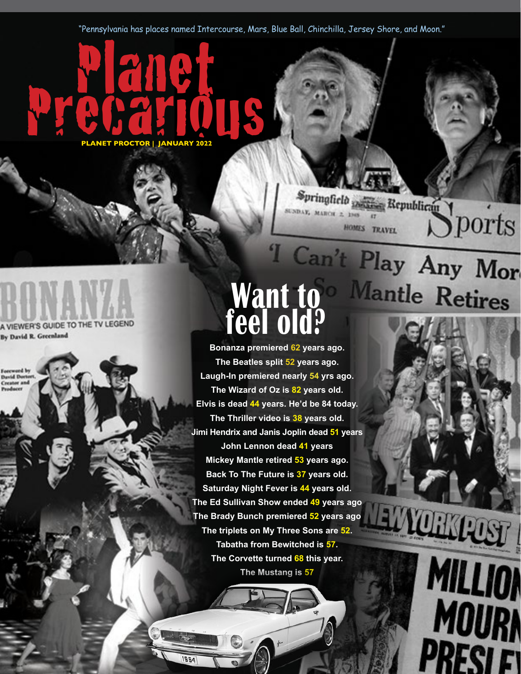"Pennsylvania has places named Intercourse, Mars, Blue Ball, Chinchilla, Jersey Shore, and Moon."

VIEWER'S GUIDE TO THE TV LEGEND By David R. Greenland

**PLANET PROCTOR | JANUARY 2022**

PLANET PROCTOR | JANUARY 2022

# <sup>T</sup> Can't Play Any More **Want to feel old?**

Springfield **Bernstein Republican** 

HOMES TRAVEL

Sports

**WULKFUST** 

MILLION

**MOURN** 

SI EI

UNDAY, MARCH 2, 1949

**Bonanza premiered 62 years ago. The Beatles split 52 years ago. Laugh-In premiered nearly 54 yrs ago. The Wizard of Oz is 82 years old. Elvis is dead 44 years. He'd be 84 today. The Thriller video is 38 years old. Jimi Hendrix and Janis Joplin dead 51 years John Lennon dead 41 years Mickey Mantle retired 53 years ago. Back To The Future is 37 years old. Saturday Night Fever is 44 years old. The Ed Sullivan Show ended 49 years ago The Brady Bunch premiered 52 years ago The triplets on My Three Sons are 52. Tabatha from Bewitched is 57. The Corvette turned 68 this year. The Mustang is 57**

1964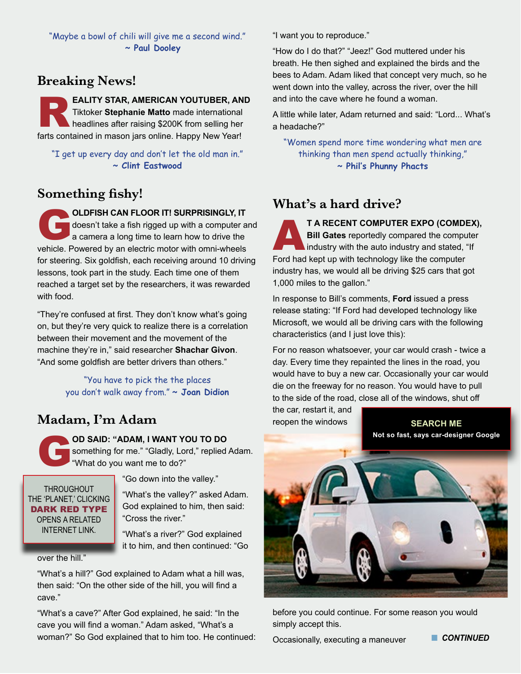"Maybe a bowl of chili will give me a second wind."  **~ Paul Dooley**

#### **Breaking News!**

**EALITY STAR, AMERICAN YOUTUBER, AND** Tiktoker **Stephanie Matto** made international headlines after raising \$200K from selling her farts contained in mason jars online. Happy New Year!

"I get up every day and don't let the old man in." **~ Clint Eastwood**

## **Something fishy!**

**OLDFISH CAN FLOOR IT! SURPRISINGLY, IT**<br>doesn't take a fish rigged up with a computer a<br>a camera a long time to learn how to drive the doesn't take a fish rigged up with a computer and a camera a long time to learn how to drive the vehicle. Powered by an electric motor with omni-wheels for steering. Six goldfish, each receiving around 10 driving lessons, took part in the study. Each time one of them reached a target set by the researchers, it was rewarded with food.

"They're confused at first. They don't know what's going on, but they're very quick to realize there is a correlation between their movement and the movement of the machine they're in," said researcher **Shachar Givon**. "And some goldfish are better drivers than others."

> "You have to pick the the places you don't walk away from." **~ Joan Didion**

# **Madam, I'm Adam**

**OD SAID: "ADAM, I WANT YOU TO DO**<br>something for me." "Gladly, Lord," replied.<br>"What do you want me to do?" something for me." "Gladly, Lord," replied Adam. "What do you want me to do?"

**THROUGHOUT** THE 'PLANET,' CLICKING DARK RED TYPE OPENS A RELATED INTERNET LINK.

"Go down into the valley."

"What's the valley?" asked Adam. God explained to him, then said: "Cross the river."

"What's a river?" God explained it to him, and then continued: "Go

over the hill."

"What's a hill?" God explained to Adam what a hill was, then said: "On the other side of the hill, you will find a cave."

"What's a cave?" After God explained, he said: "In the cave you will find a woman." Adam asked, "What's a woman?" So God explained that to him too. He continued: "I want you to reproduce."

"How do I do that?" "Jeez!" God muttered under his breath. He then sighed and explained the birds and the bees to Adam. Adam liked that concept very much, so he went down into the valley, across the river, over the hill and into the cave where he found a woman.

A little while later, Adam returned and said: "Lord... What's a headache?"

"Women spend more time wondering what men are thinking than men spend actually thinking," **~ Phil's Phunny Phacts**

## **What's a hard drive?**

A**T A RECENT COMPUTER EXPO (COMDEX), Bill Gates** reportedly compared the computer industry with the auto industry and stated, "If Ford had kept up with technology like the computer industry has, we would all be driving \$25 cars that got 1,000 miles to the gallon."

In response to Bill's comments, **Ford** issued a press release stating: "If Ford had developed technology like Microsoft, we would all be driving cars with the following characteristics (and I just love this):

For no reason whatsoever, your car would crash - twice a day. Every time they repainted the lines in the road, you would have to buy a new car. Occasionally your car would die on the freeway for no reason. You would have to pull to the side of the road, close all of the windows, shut off

the car, restart it, and reopen the windows

**SEARCH ME Not so fast, says car-designer Google**



before you could continue. For some reason you would simply accept this.

Occasionally, executing a maneuver

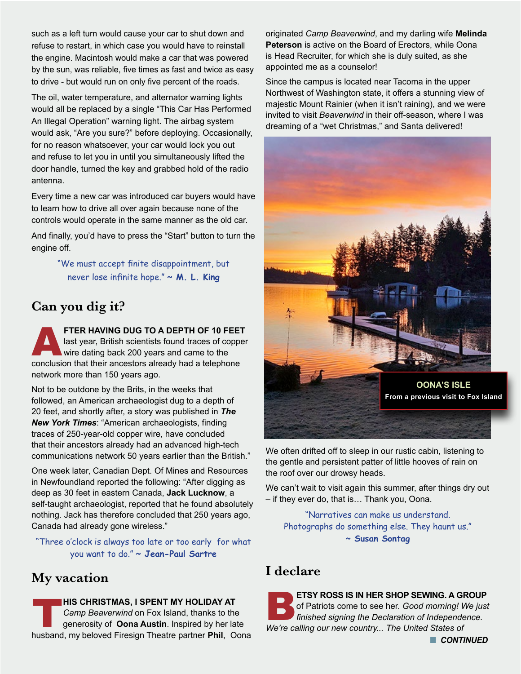such as a left turn would cause your car to shut down and refuse to restart, in which case you would have to reinstall the engine. Macintosh would make a car that was powered by the sun, was reliable, five times as fast and twice as easy to drive - but would run on only five percent of the roads.

The oil, water temperature, and alternator warning lights would all be replaced by a single "This Car Has Performed An Illegal Operation" warning light. The airbag system would ask, "Are you sure?" before deploying. Occasionally, for no reason whatsoever, your car would lock you out and refuse to let you in until you simultaneously lifted the door handle, turned the key and grabbed hold of the radio antenna.

Every time a new car was introduced car buyers would have to learn how to drive all over again because none of the controls would operate in the same manner as the old car.

And finally, you'd have to press the "Start" button to turn the engine off.

> "We must accept finite disappointment, but never lose infinite hope." **~ M. L. King**

## **Can you dig it?**

A**FTER HAVING DUG TO A DEPTH OF 10 FEET** last year, British scientists found traces of copper wire dating back 200 years and came to the conclusion that their ancestors already had a telephone network more than 150 years ago.

Not to be outdone by the Brits, in the weeks that followed, an American archaeologist dug to a depth of 20 feet, and shortly after, a story was published in *The New York Times*: "American archaeologists, finding traces of 250-year-old copper wire, have concluded that their ancestors already had an advanced high-tech communications network 50 years earlier than the British."

One week later, Canadian Dept. Of Mines and Resources in Newfoundland reported the following: "After digging as deep as 30 feet in eastern Canada, **Jack Lucknow**, a self-taught archaeologist, reported that he found absolutely nothing. Jack has therefore concluded that 250 years ago, Canada had already gone wireless."

"Three o'clock is always too late or too early for what you want to do." **~ Jean-Paul Sartre**

#### **My vacation**

**THIS CHRISTMAS, I SPENT MY HOLIDAY AT**  *Camp Beaverwind* on Fox Island, thanks to the generosity of **Oona Austin**. Inspired by her late husband, my beloved Firesign Theatre partner **Phil**, Oona originated *Camp Beaverwind*, and my darling wife **Melinda Peterson** is active on the Board of Erectors, while Oona is Head Recruiter, for which she is duly suited, as she appointed me as a counselor!

Since the campus is located near Tacoma in the upper Northwest of Washington state, it offers a stunning view of majestic Mount Rainier (when it isn't raining), and we were invited to visit *Beaverwind* in their off-season, where I was dreaming of a "wet Christmas," and Santa delivered!



We often drifted off to sleep in our rustic cabin, listening to the gentle and persistent patter of little hooves of rain on the roof over our drowsy heads.

We can't wait to visit again this summer, after things dry out – if they ever do, that is… Thank you, Oona.

"Narratives can make us understand. Photographs do something else. They haunt us." **~ Susan Sontag**

#### **I declare**

**ETSY ROSS IS IN HER SHOP SEWING. A GROUP**<br>of Patriots come to see her. Good morning! We just<br>finished signing the Declaration of Independence. of Patriots come to see her. *Good morning! We just finished signing the Declaration of Independence. We're calling our new country... The United States of*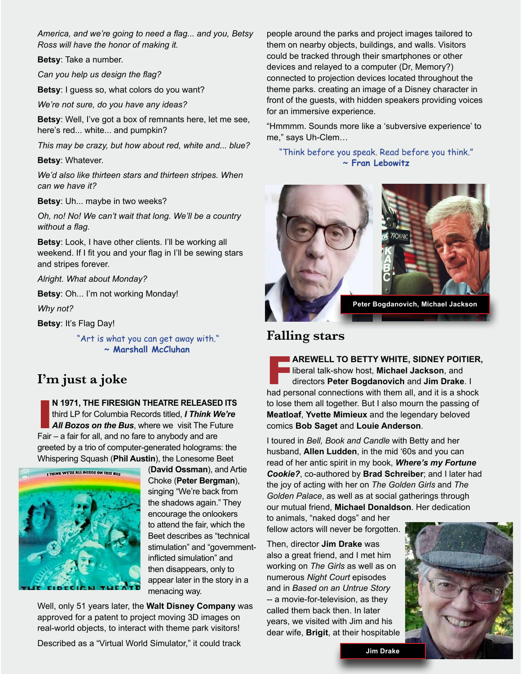*America, and we're going to need a flag... and you, Betsy Ross will have the honor of making it.* 

**Betsy**: Take a number.

*Can you help us design the flag?*

**Betsy**: I guess so, what colors do you want?

*We're not sure, do you have any ideas?*

**Betsy**: Well, I've got a box of remnants here, let me see, here's red... white... and pumpkin?

*This may be crazy, but how about red, white and... blue?*

**Betsy**: Whatever.

*We'd also like thirteen stars and thirteen stripes. When can we have it?* 

**Betsy**: Uh... maybe in two weeks?

*Oh, no! No! We can't wait that long. We'll be a country without a flag.*

**Betsy**: Look, I have other clients. I'll be working all weekend. If I fit you and your flag in I'll be sewing stars and stripes forever.

*Alright. What about Monday?*

**Betsy**: Oh... I'm not working Monday!

*Why not?*

**Betsy**: It's Flag Day!

"Art is what you can get away with." **~ Marshall McCluhan**

# **I'm just a joke**

**IVENTIGE FIRESIGN THEATRE RELEASED**<br> **I** for Columbia Records titled, *I Think W***<br>** *All Bozos on the Bus, where we visit The Fure Fair – a fair for all, and no fare to anybody and are* **N 1971, THE FIRESIGN THEATRE RELEASED ITS** third LP for Columbia Records titled, *I Think We're All Bozos on the Bus*, where we visit The Future greeted by a trio of computer-generated holograms: the Whispering Squash (**Phil Austin**), the Lonesome Beet



(**David Ossman**), and Artie Choke (**Peter Bergman**), singing "We're back from the shadows again." They encourage the onlookers to attend the fair, which the Beet describes as "technical stimulation" and "governmentinflicted simulation" and then disappears, only to appear later in the story in a menacing way.

Well, only 51 years later, the **Walt Disney Company** was approved for a patent to project moving 3D images on real-world objects, to interact with theme park visitors!

Described as a "Virtual World Simulator," it could track

people around the parks and project images tailored to them on nearby objects, buildings, and walls. Visitors could be tracked through their smartphones or other devices and relayed to a computer (Dr, Memory?) connected to projection devices located throughout the theme parks. creating an image of a Disney character in front of the guests, with hidden speakers providing voices for an immersive experience.

"Hmmmm. Sounds more like a 'subversive experience' to me," says Uh-Clem…

"Think before you speak. Read before you think." **~ Fran Lebowitz**



#### **Falling stars**

**FAREWELL TO BETTY WHITE, SIDNEY POITIER,** liberal talk-show host, **Michael Jackson**, and directors **Peter Bogdanovich** and **Jim Drake**. I had personal connections with them all, and it is a shock to lose them all together. But I also mourn the passing of **Meatloaf**, **Yvette Mimieux** and the legendary beloved comics **Bob Saget** and **Louie Anderson**.

I toured in *Bell, Book and Candle* with Betty and her husband, **Allen Ludden**, in the mid '60s and you can read of her antic spirit in my book, *Where's my Fortune Cookie?*, co-authored by **Brad Schreiber**; and I later had the joy of acting with her on *The Golden Girls* and *The Golden Palace*, as well as at social gatherings through our mutual friend, **Michael Donaldson**. Her dedication to animals, "naked dogs" and her

fellow actors will never be forgotten.

Then, director **Jim Drake** was also a great friend, and I met him working on *The Girls* as well as on numerous *Night Court* episodes and in *Based on an Untrue Story* -- a movie-for-television, as they called them back then. In later years, we visited with Jim and his dear wife, **Brigit**, at their hospitable